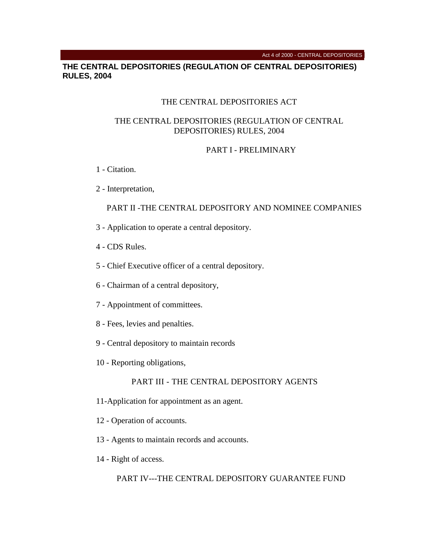#### Act 4 of 2000 - CENTRAL DEPOSITORIES

## **THE CENTRAL DEPOSITORIES (REGULATION OF CENTRAL DEPOSITORIES) RULES, 2004**

### THE CENTRAL DEPOSITORIES ACT

### THE CENTRAL DEPOSITORIES (REGULATION OF CENTRAL DEPOSITORIES) RULES, 2004

### PART I - PRELIMINARY

- 1 Citation.
- 2 Interpretation,

# PART II -THE CENTRAL DEPOSITORY AND NOMINEE COMPANIES

- 3 Application to operate a central depository.
- 4 CDS Rules.
- 5 Chief Executive officer of a central depository.
- 6 Chairman of a central depository,
- 7 Appointment of committees.
- 8 Fees, levies and penalties.
- 9 Central depository to maintain records
- 10 Reporting obligations,

### PART III - THE CENTRAL DEPOSITORY AGENTS

- 11-Application for appointment as an agent.
- 12 Operation of accounts.
- 13 Agents to maintain records and accounts.
- 14 Right of access.

## PART IV---THE CENTRAL DEPOSITORY GUARANTEE FUND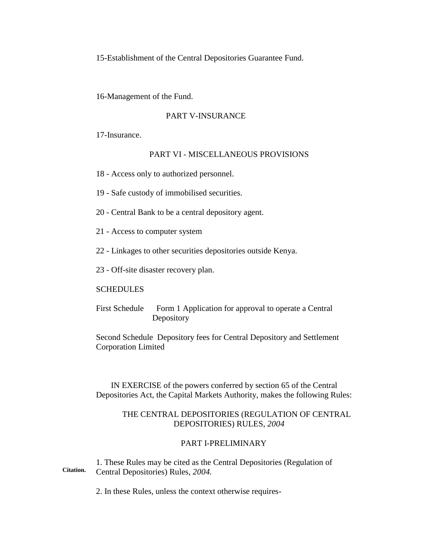15-Establishment of the Central Depositories Guarantee Fund.

16-Management of the Fund.

### PART V-INSURANCE

17-Insurance.

### PART VI - MISCELLANEOUS PROVISIONS

- 18 Access only to authorized personnel.
- 19 Safe custody of immobilised securities.
- 20 Central Bank to be a central depository agent.
- 21 Access to computer system
- 22 Linkages to other securities depositories outside Kenya.
- 23 Off-site disaster recovery plan.

### **SCHEDULES**

First Schedule Form 1 Application for approval to operate a Central Depository

Second Schedule Depository fees for Central Depository and Settlement Corporation Limited

IN EXERCISE of the powers conferred by section 65 of the Central Depositories Act, the Capital Markets Authority, makes the following Rules:

### THE CENTRAL DEPOSITORIES (REGULATION OF CENTRAL DEPOSITORIES) RULES, *2004*

# PART I-PRELIMINARY

**Citation.** 1. These Rules may be cited as the Central Depositories (Regulation of Central Depositories) Rules, *2004.*

2. In these Rules, unless the context otherwise requires-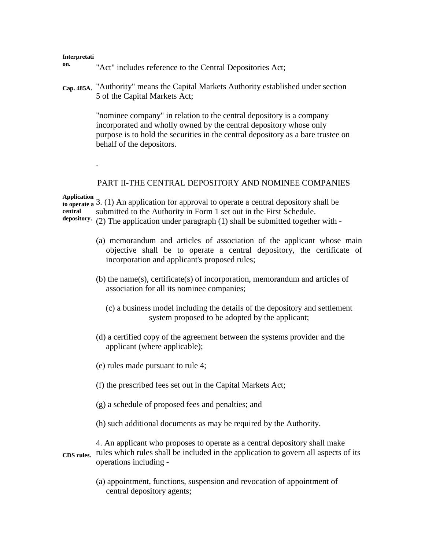#### **Interpretati**

**on.**

- "Act" includes reference to the Central Depositories Act;
- **Cap. 485A.** "Authority" means the Capital Markets Authority established under section 5 of the Capital Markets Act;

"nominee company" in relation to the central depository is a company incorporated and wholly owned by the central depository whose only purpose is to hold the securities in the central depository as a bare trustee on behalf of the depositors.

### PART II-THE CENTRAL DEPOSITORY AND NOMINEE COMPANIES

**Application** 

.

**to operate a**  3. (1) An application for approval to operate a central depository shall be **central depository.** submitted to the Authority in Form 1 set out in the First Schedule. (2) The application under paragraph (1) shall be submitted together with -

- (a) memorandum and articles of association of the applicant whose main objective shall be to operate a central depository, the certificate of incorporation and applicant's proposed rules;
- (b) the name(s), certificate(s) of incorporation, memorandum and articles of association for all its nominee companies;
	- (c) a business model including the details of the depository and settlement system proposed to be adopted by the applicant;
- (d) a certified copy of the agreement between the systems provider and the applicant (where applicable);
- (e) rules made pursuant to rule 4;
- (f) the prescribed fees set out in the Capital Markets Act;
- (g) a schedule of proposed fees and penalties; and
- (h) such additional documents as may be required by the Authority.

**CDS rules.** 4. An applicant who proposes to operate as a central depository shall make rules which rules shall be included in the application to govern all aspects of its operations including -

> (a) appointment, functions, suspension and revocation of appointment of central depository agents;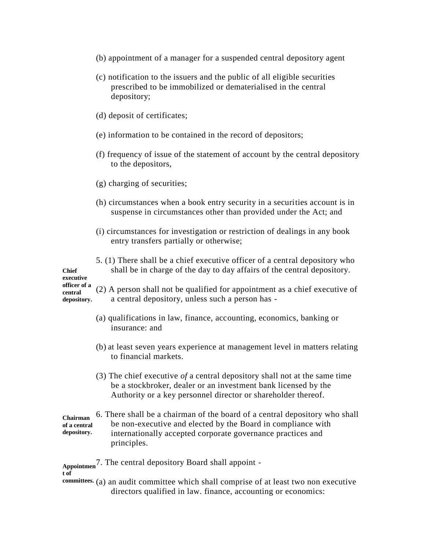- (b) appointment of a manager for a suspended central depository agent
- (c) notification to the issuers and the public of all eligible securities prescribed to be immobilized or dematerialised in the central depository;
- (d) deposit of certificates;
- (e) information to be contained in the record of depositors;
- (f) frequency of issue of the statement of account by the central depository to the depositors,
- (g) charging of securities;
- (h) circumstances when a book entry security in a securities account is in suspense in circumstances other than provided under the Act; and
- (i) circumstances for investigation or restriction of dealings in any book entry transfers partially or otherwise;
- **Chief**  5. (1) There shall be a chief executive officer of a central depository who shall be in charge of the day to day affairs of the central depository.

**executive officer of a central** 

**depository.** (2) A person shall not be qualified for appointment as a chief executive of a central depository, unless such a person has -

- (a) qualifications in law, finance, accounting, economics, banking or insurance: and
- (b) at least seven years experience at management level in matters relating to financial markets.
- (3) The chief executive *of* a central depository shall not at the same time be a stockbroker, dealer or an investment bank licensed by the Authority or a key personnel director or shareholder thereof.

**Chairman of a central depository.** 6. There shall be a chairman of the board of a central depository who shall be non-executive and elected by the Board in compliance with internationally accepted corporate governance practices and principles.

**Appointmen** 7. The central depository Board shall appoint -

**t of** 

**committees.** (a) an audit committee which shall comprise of at least two non executive directors qualified in law. finance, accounting or economics: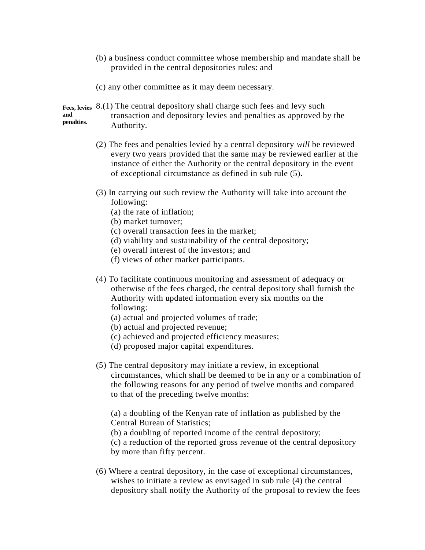- (b) a business conduct committee whose membership and mandate shall be provided in the central depositories rules: and
- (c) any other committee as it may deem necessary.
- **Fees, levies**  8.(1) The central depository shall charge such fees and levy such **and penalties.** transaction and depository levies and penalties as approved by the Authority.
	- (2) The fees and penalties levied by a central depository *will* be reviewed every two years provided that the same may be reviewed earlier at the instance of either the Authority or the central depository in the event of exceptional circumstance as defined in sub rule (5).
	- (3) In carrying out such review the Authority will take into account the following:
		- (a) the rate of inflation;
		- (b) market turnover;
		- (c) overall transaction fees in the market;
		- (d) viability and sustainability of the central depository;
		- (e) overall interest of the investors; and
		- (f) views of other market participants.
	- (4) To facilitate continuous monitoring and assessment of adequacy or otherwise of the fees charged, the central depository shall furnish the Authority with updated information every six months on the following:
		- (a) actual and projected volumes of trade;
		- (b) actual and projected revenue;
		- (c) achieved and projected efficiency measures;
		- (d) proposed major capital expenditures.
	- (5) The central depository may initiate a review, in exceptional circumstances, which shall be deemed to be in any or a combination of the following reasons for any period of twelve months and compared to that of the preceding twelve months:

(a) a doubling of the Kenyan rate of inflation as published by the Central Bureau of Statistics;

(b) a doubling of reported income of the central depository;

(c) a reduction of the reported gross revenue of the central depository by more than fifty percent.

(6) Where a central depository, in the case of exceptional circumstances, wishes to initiate a review as envisaged in sub rule (4) the central depository shall notify the Authority of the proposal to review the fees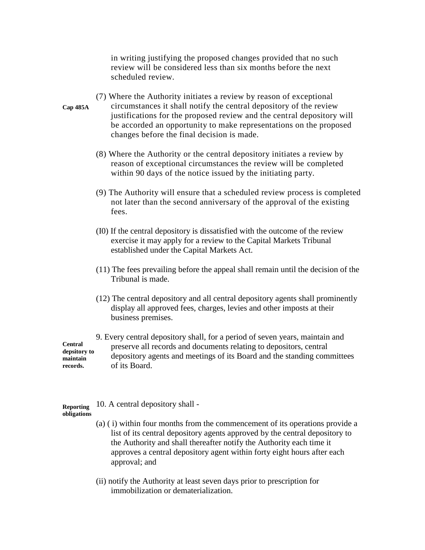in writing justifying the proposed changes provided that no such review will be considered less than six months before the next scheduled review.

- **Cap 485A** (7) Where the Authority initiates a review by reason of exceptional circumstances it shall notify the central depository of the review justifications for the proposed review and the central depository will be accorded an opportunity to make representations on the proposed changes before the final decision is made.
	- (8) Where the Authority or the central depository initiates a review by reason of exceptional circumstances the review will be completed within 90 days of the notice issued by the initiating party.
	- (9) The Authority will ensure that a scheduled review process is completed not later than the second anniversary of the approval of the existing fees.
	- (I0) If the central depository is dissatisfied with the outcome of the review exercise it may apply for a review to the Capital Markets Tribunal established under the Capital Markets Act.
	- (11) The fees prevailing before the appeal shall remain until the decision of the Tribunal is made.
	- (12) The central depository and all central depository agents shall prominently display all approved fees, charges, levies and other imposts at their business premises.

**Central depsitory to maintain records.** 9. Every central depository shall, for a period of seven years, maintain and preserve all records and documents relating to depositors, central depository agents and meetings of its Board and the standing committees of its Board.

**Reporting**  10. A central depository shall -

**obligations**

- (a) ( i) within four months from the commencement of its operations provide a list of its central depository agents approved by the central depository to the Authority and shall thereafter notify the Authority each time it approves a central depository agent within forty eight hours after each approval; and
- (ii) notify the Authority at least seven days prior to prescription for immobilization or dematerialization.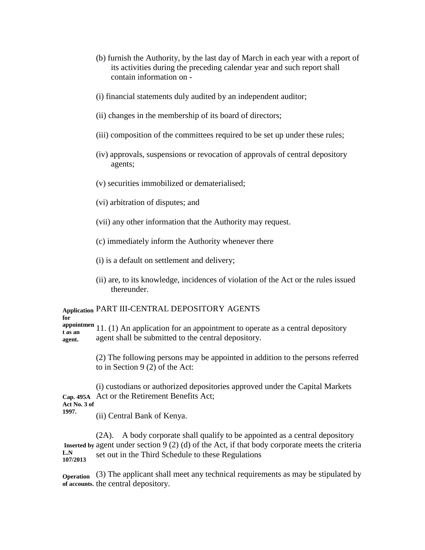- (b) furnish the Authority, by the last day of March in each year with a report of its activities during the preceding calendar year and such report shall contain information on -
- (i) financial statements duly audited by an independent auditor;
- (ii) changes in the membership of its board of directors;
- (iii) composition of the committees required to be set up under these rules;
- (iv) approvals, suspensions or revocation of approvals of central depository agents;
- (v) securities immobilized or dematerialised;
- (vi) arbitration of disputes; and
- (vii) any other information that the Authority may request.
- (c) immediately inform the Authority whenever there
- (i) is a default on settlement and delivery;
- (ii) are, to its knowledge, incidences of violation of the Act or the rules issued thereunder.

### **Application**  PART III-CENTRAL DEPOSITORY AGENTS **for**

**appointmen** appointmen 11. (1) An application for an appointment to operate as a central depository **agent.** agent shall be submitted to the central depository.

> (2) The following persons may be appointed in addition to the persons referred to in Section 9 (2) of the Act:

**Cap. 495A**  Act or the Retirement Benefits Act; **Act No. 3 of**  (i) custodians or authorized depositories approved under the Capital Markets

**1997.**

(ii) Central Bank of Kenya.

**Inserted by**  agent under section 9 (2) (d) of the Act, if that body corporate meets the criteria **L.N 107/2013** (2A). A body corporate shall qualify to be appointed as a central depository set out in the Third Schedule to these Regulations

**Operation** (3) The applicant shall meet any technical requirements as may be stipulated by **of accounts.** the central depository.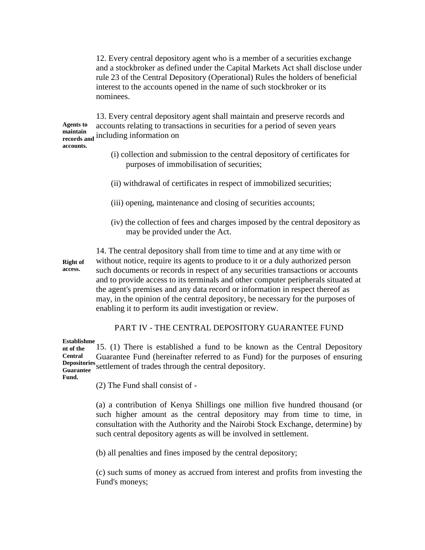12. Every central depository agent who is a member of a securities exchange and a stockbroker as defined under the Capital Markets Act shall disclose under rule 23 of the Central Depository (Operational) Rules the holders of beneficial interest to the accounts opened in the name of such stockbroker or its nominees.

**Agents to maintain records and**  including information on 13. Every central depository agent shall maintain and preserve records and accounts relating to transactions in securities for a period of seven years

# **accounts.**

- (i) collection and submission to the central depository of certificates for purposes of immobilisation of securities;
- (ii) withdrawal of certificates in respect of immobilized securities;
- (iii) opening, maintenance and closing of securities accounts;
- (iv) the collection of fees and charges imposed by the central depository as may be provided under the Act.

**Right of access.**

14. The central depository shall from time to time and at any time with or without notice, require its agents to produce to it or a duly authorized person such documents or records in respect of any securities transactions or accounts and to provide access to its terminals and other computer peripherals situated at the agent's premises and any data record or information in respect thereof as may, in the opinion of the central depository, be necessary for the purposes of enabling it to perform its audit investigation or review.

# PART IV - THE CENTRAL DEPOSITORY GUARANTEE FUND

#### **Establishme**

**nt of the Central Depositories Guarantee**  settlement of trades through the central depository. 15. (1) There is established a fund to be known as the Central Depository Guarantee Fund (hereinafter referred to as Fund) for the purposes of ensuring

# **Fund.**

(2) The Fund shall consist of -

(a) a contribution of Kenya Shillings one million five hundred thousand (or such higher amount as the central depository may from time to time, in consultation with the Authority and the Nairobi Stock Exchange, determine) by such central depository agents as will be involved in settlement.

(b) all penalties and fines imposed by the central depository;

(c) such sums of money as accrued from interest and profits from investing the Fund's moneys;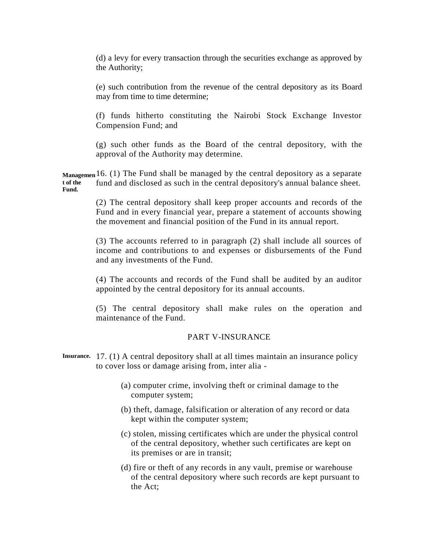(d) a levy for every transaction through the securities exchange as approved by the Authority;

(e) such contribution from the revenue of the central depository as its Board may from time to time determine;

(f) funds hitherto constituting the Nairobi Stock Exchange Investor Compension Fund; and

(g) such other funds as the Board of the central depository, with the approval of the Authority may determine.

**Managemen** 16. (1) The Fund shall be managed by the central depository as a separate **t of the Fund.** fund and disclosed as such in the central depository's annual balance sheet.

> (2) The central depository shall keep proper accounts and records of the Fund and in every financial year, prepare a statement of accounts showing the movement and financial position of the Fund in its annual report.

> (3) The accounts referred to in paragraph (2) shall include all sources of income and contributions to and expenses or disbursements of the Fund and any investments of the Fund.

> (4) The accounts and records of the Fund shall be audited by an auditor appointed by the central depository for its annual accounts.

> (5) The central depository shall make rules on the operation and maintenance of the Fund.

# PART V-INSURANCE

- **Insurance.** 17. (1) A central depository shall at all times maintain an insurance policy to cover loss or damage arising from, inter alia -
	- (a) computer crime, involving theft or criminal damage to the computer system;
	- (b) theft, damage, falsification or alteration of any record or data kept within the computer system;
	- (c) stolen, missing certificates which are under the physical control of the central depository, whether such certificates are kept on its premises or are in transit;
	- (d) fire or theft of any records in any vault, premise or warehouse of the central depository where such records are kept pursuant to the Act;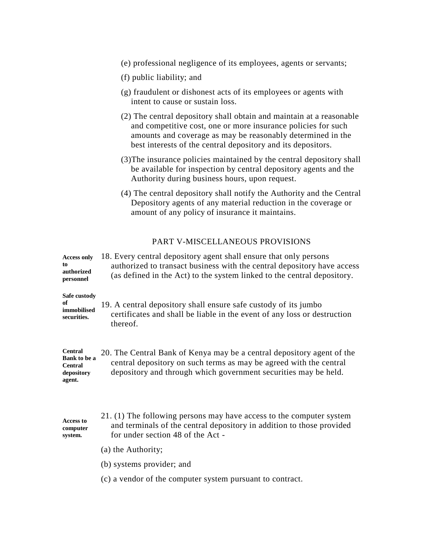- (e) professional negligence of its employees, agents or servants;
- (f) public liability; and
- (g) fraudulent or dishonest acts of its employees or agents with intent to cause or sustain loss.
- (2) The central depository shall obtain and maintain at a reasonable and competitive cost, one or more insurance policies for such amounts and coverage as may be reasonably determined in the best interests of the central depository and its depositors.
- (3)The insurance policies maintained by the central depository shall be available for inspection by central depository agents and the Authority during business hours, upon request.
- (4) The central depository shall notify the Authority and the Central Depository agents of any material reduction in the coverage or amount of any policy of insurance it maintains.

# PART V-MISCELLANEOUS PROVISIONS

| <b>Access only</b><br>to<br>authorized<br>personnel                      | 18. Every central depository agent shall ensure that only persons<br>authorized to transact business with the central depository have access<br>(as defined in the Act) to the system linked to the central depository. |
|--------------------------------------------------------------------------|-------------------------------------------------------------------------------------------------------------------------------------------------------------------------------------------------------------------------|
| Safe custody<br>of<br>immobilised<br>securities.                         | 19. A central depository shall ensure safe custody of its jumbo<br>certificates and shall be liable in the event of any loss or destruction<br>thereof.                                                                 |
| <b>Central</b><br>Bank to be a<br><b>Central</b><br>depository<br>agent. | 20. The Central Bank of Kenya may be a central depository agent of the<br>central depository on such terms as may be agreed with the central<br>depository and through which government securities may be held.         |
| <b>Access to</b><br>computer<br>system.                                  | 21. (1) The following persons may have access to the computer system<br>and terminals of the central depository in addition to those provided<br>for under section 48 of the Act -                                      |
|                                                                          | (a) the Authority;                                                                                                                                                                                                      |
|                                                                          | (b) systems provider; and                                                                                                                                                                                               |
|                                                                          | (c) a vendor of the computer system pursuant to contract.                                                                                                                                                               |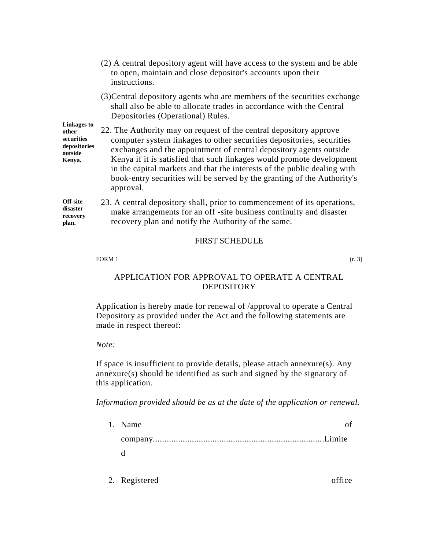- (2) A central depository agent will have access to the system and be able to open, maintain and close depositor's accounts upon their instructions.
- (3)Central depository agents who are members of the securities exchange shall also be able to allocate trades in accordance with the Central Depositories (Operational) Rules.

**Linkages to other securities depositories outside Kenya.**

22. The Authority may on request of the central depository approve computer system linkages to other securities depositories, securities exchanges and the appointment of central depository agents outside Kenya if it is satisfied that such linkages would promote development in the capital markets and that the interests of the public dealing with book-entry securities will be served by the granting of the Authority's approval.

**Off-site disaster recovery plan.** 23. A central depository shall, prior to commencement of its operations, make arrangements for an off -site business continuity and disaster recovery plan and notify the Authority of the same.

## FIRST SCHEDULE

### FORM 1  $(r. 3)$

# APPLICATION FOR APPROVAL TO OPERATE A CENTRAL DEPOSITORY

Application is hereby made for renewal of /approval to operate a Central Depository as provided under the Act and the following statements are made in respect thereof:

### *Note:*

If space is insufficient to provide details, please attach annexure(s). Any annexure(s) should be identified as such and signed by the signatory of this application.

*Information provided should be as at the date of the application or renewal.*

| 1. Name      |  |
|--------------|--|
|              |  |
| $h_{\rm th}$ |  |
|              |  |

2. Registered office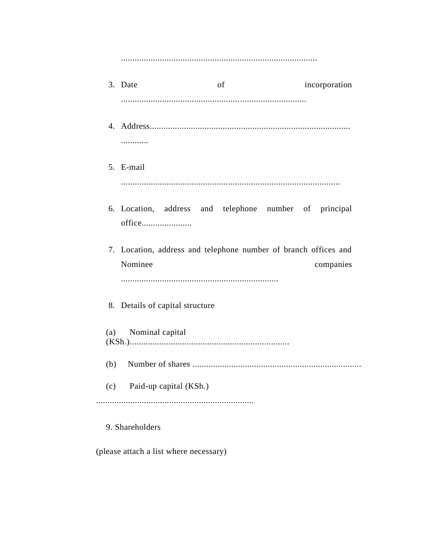|     | 3. Date                                                                    | of | incorporation |
|-----|----------------------------------------------------------------------------|----|---------------|
|     |                                                                            |    |               |
|     | .                                                                          |    |               |
|     | 5. E-mail                                                                  |    |               |
|     | 6. Location, address and telephone number of principal<br>office           |    |               |
|     | 7. Location, address and telephone number of branch offices and<br>Nominee |    | companies     |
|     | 8. Details of capital structure                                            |    |               |
| (a) | Nominal capital                                                            |    |               |
| (b) |                                                                            |    |               |
|     | (c) Paid-up capital (KSh.)                                                 |    |               |
|     |                                                                            |    |               |

9. Shareholders

(please attach a list where necessary)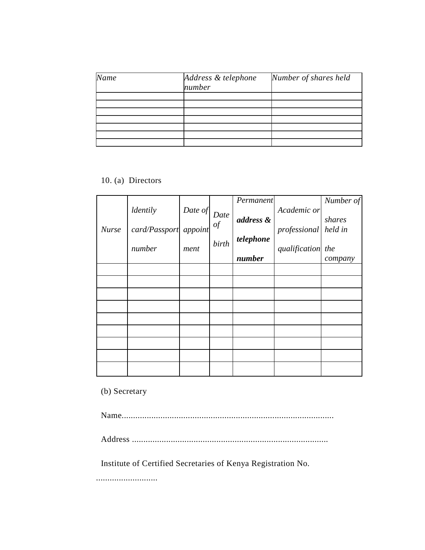| Name | Address & telephone<br>number | Number of shares held |
|------|-------------------------------|-----------------------|
|      |                               |                       |
|      |                               |                       |
|      |                               |                       |
|      |                               |                       |
|      |                               |                       |

10. (a) Directors

| <b>Nurse</b> | ldentily<br>card/Passport<br>number | Date of<br>appoint<br>ment | Date<br>of<br>birth | Permanent<br>address &<br>telephone<br>number | Academic or<br>professional<br>qualification the | Number of<br>shares<br>held in<br>company |
|--------------|-------------------------------------|----------------------------|---------------------|-----------------------------------------------|--------------------------------------------------|-------------------------------------------|
|              |                                     |                            |                     |                                               |                                                  |                                           |
|              |                                     |                            |                     |                                               |                                                  |                                           |
|              |                                     |                            |                     |                                               |                                                  |                                           |
|              |                                     |                            |                     |                                               |                                                  |                                           |
|              |                                     |                            |                     |                                               |                                                  |                                           |
|              |                                     |                            |                     |                                               |                                                  |                                           |
|              |                                     |                            |                     |                                               |                                                  |                                           |
|              |                                     |                            |                     |                                               |                                                  |                                           |
|              |                                     |                            |                     |                                               |                                                  |                                           |

(b) Secretary

Name.............................................................................................

Address ......................................................................................

Institute of Certified Secretaries of Kenya Registration No.

...........................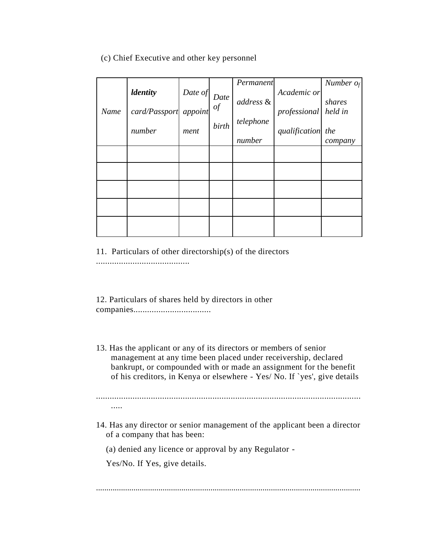# (c) Chief Executive and other key personnel

| Name | <i><u><b>Identity</b></u></i><br>card/Passport appoint | Date of | Date<br>of | Permanent<br>address & | Academic or<br>professional | Number $o_f$<br>shares<br>held in |
|------|--------------------------------------------------------|---------|------------|------------------------|-----------------------------|-----------------------------------|
|      | number                                                 | ment    | birth      | telephone<br>number    | qualification the           | company                           |
|      |                                                        |         |            |                        |                             |                                   |
|      |                                                        |         |            |                        |                             |                                   |
|      |                                                        |         |            |                        |                             |                                   |
|      |                                                        |         |            |                        |                             |                                   |
|      |                                                        |         |            |                        |                             |                                   |

11. Particulars of other directorship(s) of the directors

.........................................

12. Particulars of shares held by directors in other companies..................................

13. Has the applicant or any of its directors or members of senior management at any time been placed under receivership, declared bankrupt, or compounded with or made an assignment for the benefit of his creditors, in Kenya or elsewhere - Yes/ No. If `yes', give details

.................................................................................................................... .....

14. Has any director or senior management of the applicant been a director of a company that has been:

(a) denied any licence or approval by any Regulator -

Yes/No. If Yes, give details.

...............................................................................................................................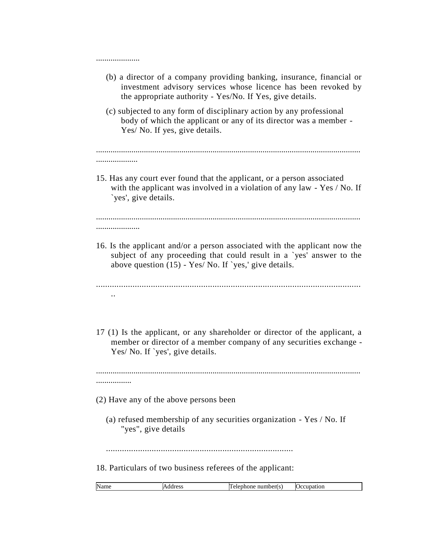| (b) a director of a company providing banking, insurance, financial or |  |  |  |  |
|------------------------------------------------------------------------|--|--|--|--|
| investment advisory services whose licence has been revoked by         |  |  |  |  |
| the appropriate authority - Yes/No. If Yes, give details.              |  |  |  |  |

(c) subjected to any form of disciplinary action by any professional body of which the applicant or any of its director was a member - Yes/ No. If yes, give details.

#### ............................................................................................................................... ....................

15. Has any court ever found that the applicant, or a person associated with the applicant was involved in a violation of any law - Yes / No. If `yes', give details.

............................................................................................................................... .....................

16. Is the applicant and/or a person associated with the applicant now the subject of any proceeding that could result in a `yes' answer to the above question (15) - Yes/ No. If `yes,' give details.

.................................................................................................................... ..

17 (1) Is the applicant, or any shareholder or director of the applicant, a member or director of a member company of any securities exchange - Yes/ No. If `yes', give details.

............................................................................................................................... .................

(2) Have any of the above persons been

.....................

(a) refused membership of any securities organization - Yes / No. If "yes", give details

..................................................................................

18. Particulars of two business referees of the applicant:

| Nam<br>m<br>- -- 1<br>$ -$<br><br>,,,,<br>יי ו<br>"<br>$  -$ |
|--------------------------------------------------------------|
|--------------------------------------------------------------|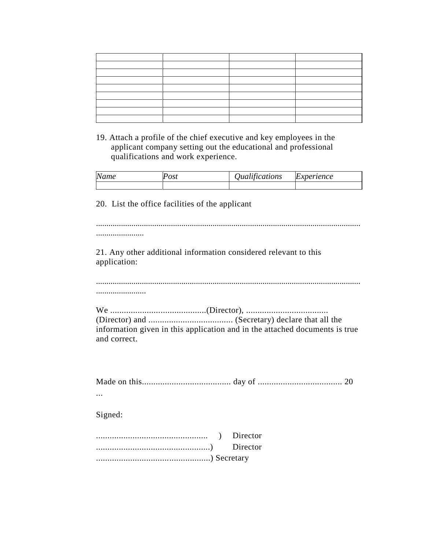19. Attach a profile of the chief executive and key employees in the applicant company setting out the educational and professional qualifications and work experience.

| Name | $\sim$ $\sim$ 1 | $1 \cdot \alpha$ | xperience |
|------|-----------------|------------------|-----------|
|      | <b>US</b>       | Jualifications   | IC.XI.    |
|      |                 |                  |           |

20. List the office facilities of the applicant

............................................................................................................................... ....................... 21. Any other additional information considered relevant to this application: ............................................................................................................................... ........................ We ..........................................(Director), .................................... (Director) and ..................................... (Secretary) declare that all the information given in this application and in the attached documents is true and correct. Made on this....................................... day of ..................................... 20 ... Signed: ................................................. ) Director ..................................................) Director ..................................................) Secretary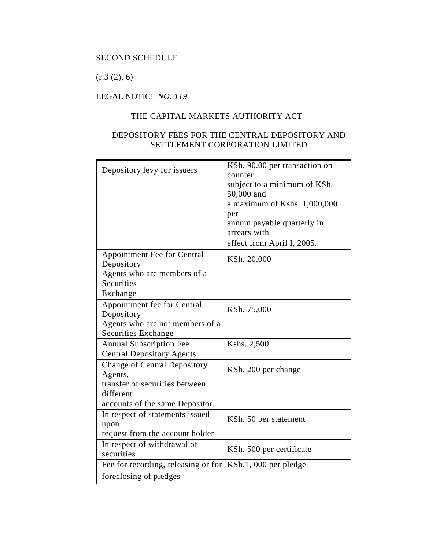# SECOND SCHEDULE

 $(r.3 (2), 6)$ 

# LEGAL NOTICE *NO. 119*

# THE CAPITAL MARKETS AUTHORITY ACT

# DEPOSITORY FEES FOR THE CENTRAL DEPOSITORY AND SETTLEMENT CORPORATION LIMITED

| Depository levy for issuers                                                      | KSh. 90.00 per transaction on<br>counter<br>subject to a minimum of KSh.<br>50,000 and<br>a maximum of Kshs. 1,000,000<br>per<br>annum payable quarterly in<br>arrears with<br>effect from April I, 2005. |
|----------------------------------------------------------------------------------|-----------------------------------------------------------------------------------------------------------------------------------------------------------------------------------------------------------|
| Appointment Fee for Central<br>Depository                                        | KSh. 20,000                                                                                                                                                                                               |
| Agents who are members of a<br>Securities<br>Exchange                            |                                                                                                                                                                                                           |
| Appointment fee for Central                                                      | KSh. 75,000                                                                                                                                                                                               |
| Depository<br>Agents who are not members of a<br>Securities Exchange             |                                                                                                                                                                                                           |
| <b>Annual Subscription Fee</b><br><b>Central Depository Agents</b>               | Kshs. 2,500                                                                                                                                                                                               |
| <b>Change of Central Depository</b><br>Agents,<br>transfer of securities between | KSh. 200 per change                                                                                                                                                                                       |
| different<br>accounts of the same Depositor.                                     |                                                                                                                                                                                                           |
| In respect of statements issued<br>upon<br>request from the account holder       | KSh. 50 per statement                                                                                                                                                                                     |
| In respect of withdrawal of<br>securities                                        | KSh. 500 per certificate                                                                                                                                                                                  |
| Fee for recording, releasing or for                                              | KSh.1, 000 per pledge                                                                                                                                                                                     |
| foreclosing of pledges                                                           |                                                                                                                                                                                                           |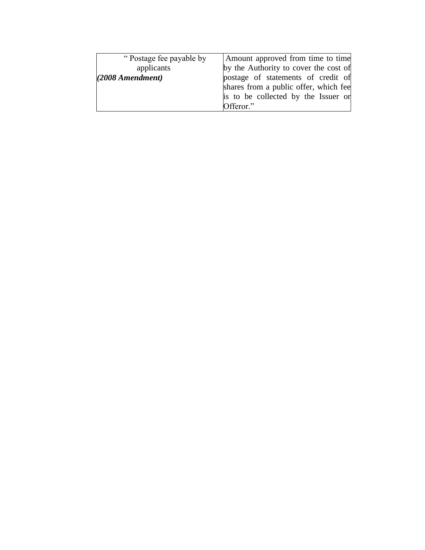| "Postage fee payable by | Amount approved from time to time     |
|-------------------------|---------------------------------------|
| applicants              | by the Authority to cover the cost of |
| (2008 Amendment)        | postage of statements of credit of    |
|                         | shares from a public offer, which fee |
|                         | is to be collected by the Issuer or   |
|                         | Offeror."                             |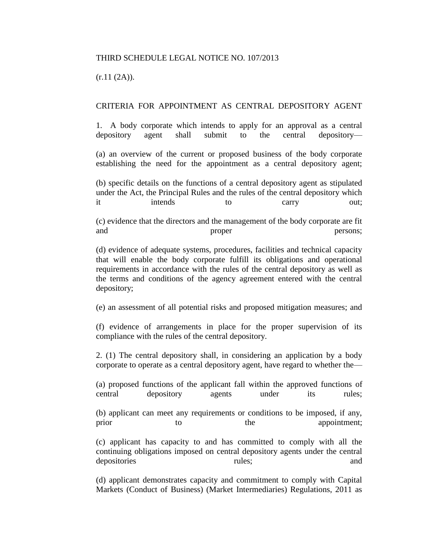## THIRD SCHEDULE LEGAL NOTICE NO. 107/2013

 $(r.11 (2A)).$ 

### CRITERIA FOR APPOINTMENT AS CENTRAL DEPOSITORY AGENT

1. A body corporate which intends to apply for an approval as a central depository agent shall submit to the central depository—

(a) an overview of the current or proposed business of the body corporate establishing the need for the appointment as a central depository agent;

(b) specific details on the functions of a central depository agent as stipulated under the Act, the Principal Rules and the rules of the central depository which it intends to carry out;

(c) evidence that the directors and the management of the body corporate are fit and proper persons;

(d) evidence of adequate systems, procedures, facilities and technical capacity that will enable the body corporate fulfill its obligations and operational requirements in accordance with the rules of the central depository as well as the terms and conditions of the agency agreement entered with the central depository;

(e) an assessment of all potential risks and proposed mitigation measures; and

(f) evidence of arrangements in place for the proper supervision of its compliance with the rules of the central depository.

2. (1) The central depository shall, in considering an application by a body corporate to operate as a central depository agent, have regard to whether the—

(a) proposed functions of the applicant fall within the approved functions of central depository agents under its rules;

(b) applicant can meet any requirements or conditions to be imposed, if any, prior to the appointment;

(c) applicant has capacity to and has committed to comply with all the continuing obligations imposed on central depository agents under the central depositories and rules; and rules; and rules; and rules; and rules; and rules; and rules; and rules; and rules; and rules; and rules; and rules; and rules; and rules; and rules; and rules; and rules; and rules; and rules;

(d) applicant demonstrates capacity and commitment to comply with Capital Markets (Conduct of Business) (Market Intermediaries) Regulations, 2011 as